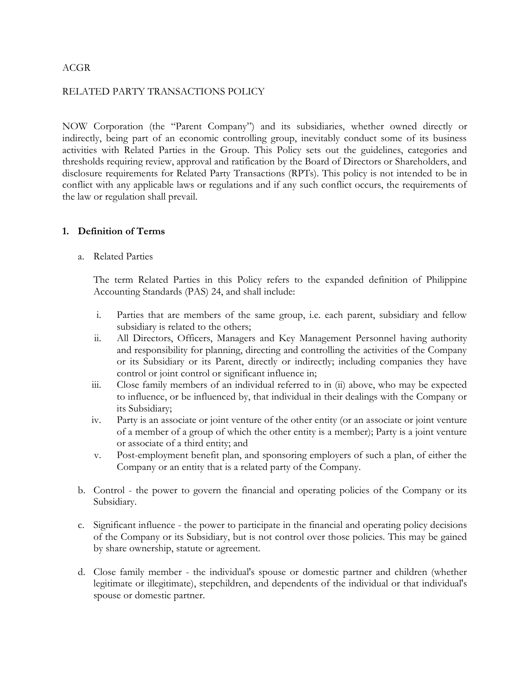#### ACGR

#### RELATED PARTY TRANSACTIONS POLICY

NOW Corporation (the "Parent Company") and its subsidiaries, whether owned directly or indirectly, being part of an economic controlling group, inevitably conduct some of its business activities with Related Parties in the Group. This Policy sets out the guidelines, categories and thresholds requiring review, approval and ratification by the Board of Directors or Shareholders, and disclosure requirements for Related Party Transactions (RPTs). This policy is not intended to be in conflict with any applicable laws or regulations and if any such conflict occurs, the requirements of the law or regulation shall prevail.

#### **1. Definition of Terms**

a. Related Parties

The term Related Parties in this Policy refers to the expanded definition of Philippine Accounting Standards (PAS) 24, and shall include:

- i. Parties that are members of the same group, i.e. each parent, subsidiary and fellow subsidiary is related to the others;
- ii. All Directors, Officers, Managers and Key Management Personnel having authority and responsibility for planning, directing and controlling the activities of the Company or its Subsidiary or its Parent, directly or indirectly; including companies they have control or joint control or significant influence in;
- iii. Close family members of an individual referred to in (ii) above, who may be expected to influence, or be influenced by, that individual in their dealings with the Company or its Subsidiary;
- iv. Party is an associate or joint venture of the other entity (or an associate or joint venture of a member of a group of which the other entity is a member); Party is a joint venture or associate of a third entity; and
- v. Post-employment benefit plan, and sponsoring employers of such a plan, of either the Company or an entity that is a related party of the Company.
- b. Control the power to govern the financial and operating policies of the Company or its Subsidiary.
- c. Significant influence the power to participate in the financial and operating policy decisions of the Company or its Subsidiary, but is not control over those policies. This may be gained by share ownership, statute or agreement.
- d. Close family member the individual's spouse or domestic partner and children (whether legitimate or illegitimate), stepchildren, and dependents of the individual or that individual's spouse or domestic partner.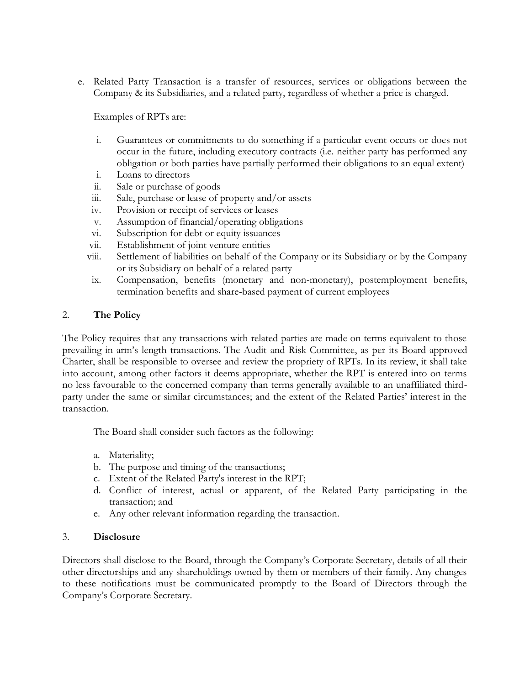e. Related Party Transaction is a transfer of resources, services or obligations between the Company & its Subsidiaries, and a related party, regardless of whether a price is charged.

Examples of RPTs are:

- i. Guarantees or commitments to do something if a particular event occurs or does not occur in the future, including executory contracts (i.e. neither party has performed any obligation or both parties have partially performed their obligations to an equal extent)
- i. Loans to directors
- ii. Sale or purchase of goods
- iii. Sale, purchase or lease of property and/or assets
- iv. Provision or receipt of services or leases
- v. Assumption of financial/operating obligations
- vi. Subscription for debt or equity issuances
- vii. Establishment of joint venture entities
- viii. Settlement of liabilities on behalf of the Company or its Subsidiary or by the Company or its Subsidiary on behalf of a related party
- ix. Compensation, benefits (monetary and non-monetary), postemployment benefits, termination benefits and share-based payment of current employees

### 2. **The Policy**

The Policy requires that any transactions with related parties are made on terms equivalent to those prevailing in arm's length transactions. The Audit and Risk Committee, as per its Board-approved Charter, shall be responsible to oversee and review the propriety of RPTs. In its review, it shall take into account, among other factors it deems appropriate, whether the RPT is entered into on terms no less favourable to the concerned company than terms generally available to an unaffiliated third party under the same or similar circumstances; and the extent of the Related Parties' interest in the transaction.

The Board shall consider such factors as the following:

- a. Materiality;
- b. The purpose and timing of the transactions;
- c. Extent of the Related Party's interest in the RPT;
- d. Conflict of interest, actual or apparent, of the Related Party participating in the transaction; and
- e. Any other relevant information regarding the transaction.

### 3. **Disclosure**

Directors shall disclose to the Board, through the Company's Corporate Secretary, details of all their other directorships and any shareholdings owned by them or members of their family. Any changes to these notifications must be communicated promptly to the Board of Directors through the Company's Corporate Secretary.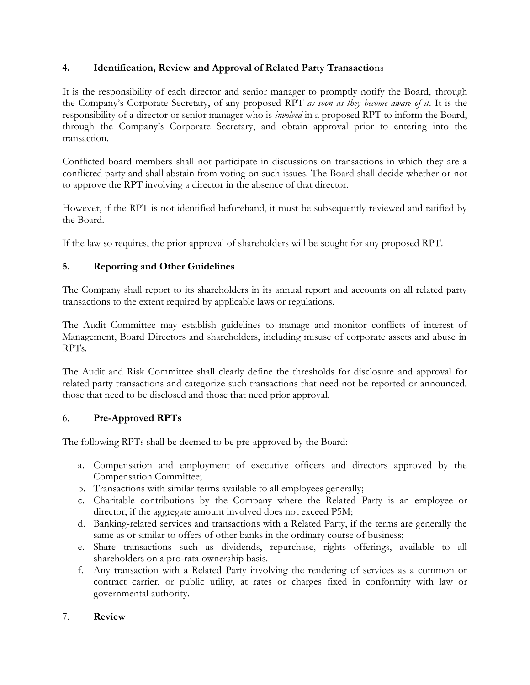# **4. Identification, Review and Approval of Related Party Transactio**ns

It is the responsibility of each director and senior manager to promptly notify the Board, through the Company's Corporate Secretary, of any proposed RPT *as soon as they become aware of it*. It is the responsibility of a director or senior manager who is *involved* in a proposed RPT to inform the Board, through the Company's Corporate Secretary, and obtain approval prior to entering into the transaction.

Conflicted board members shall not participate in discussions on transactions in which they are a conflicted party and shall abstain from voting on such issues. The Board shall decide whether or not to approve the RPT involving a director in the absence of that director.

However, if the RPT is not identified beforehand, it must be subsequently reviewed and ratified by the Board.

If the law so requires, the prior approval of shareholders will be sought for any proposed RPT.

# **5. Reporting and Other Guidelines**

The Company shall report to its shareholders in its annual report and accounts on all related party transactions to the extent required by applicable laws or regulations.

The Audit Committee may establish guidelines to manage and monitor conflicts of interest of Management, Board Directors and shareholders, including misuse of corporate assets and abuse in RPTs.

The Audit and Risk Committee shall clearly define the thresholds for disclosure and approval for related party transactions and categorize such transactions that need not be reported or announced, those that need to be disclosed and those that need prior approval.

### 6. **Pre-Approved RPTs**

The following RPTs shall be deemed to be pre-approved by the Board:

- a. Compensation and employment of executive officers and directors approved by the Compensation Committee;
- b. Transactions with similar terms available to all employees generally;
- c. Charitable contributions by the Company where the Related Party is an employee or director, if the aggregate amount involved does not exceed P5M;
- d. Banking-related services and transactions with a Related Party, if the terms are generally the same as or similar to offers of other banks in the ordinary course of business;
- e. Share transactions such as dividends, repurchase, rights offerings, available to all shareholders on a pro-rata ownership basis.
- f. Any transaction with a Related Party involving the rendering of services as a common or contract carrier, or public utility, at rates or charges fixed in conformity with law or governmental authority.

### 7. **Review**